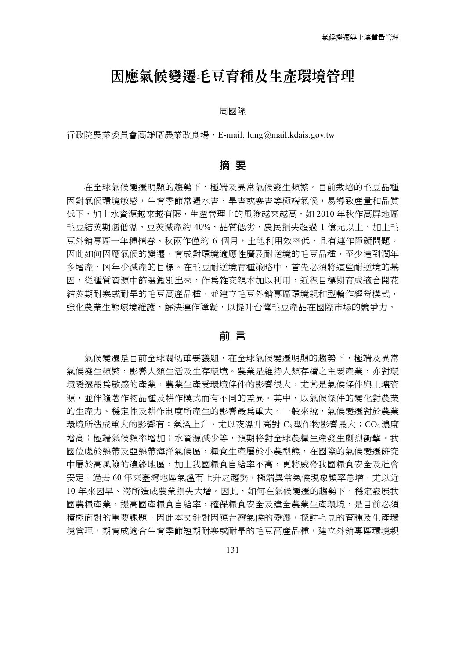## 因應氣候變遷毛豆育種及生產環境管理

#### 周國隆

行政院農業委員會高雄區農業改良場,E-mail: lung@mail.kdais.gov.tw

## 摘 要

在全球氣候變遷明顯的趨勢下,極端及異常氣候發生頻繁。目前栽培的毛豆品種 因對氣候環境敏感,生育季節常遇水害、旱害或寒害等極端氣候,易導致產量和品質 低下,加上水資源越來越有限,生產管理上的風險越來越高,如 2010 年秋作高屏地區 毛豆結莢期遇低溫,豆莢減產約 40%,品質低劣,農民損失超過 1 億元以上。加上毛 豆外銷專區一年種植春、秋兩作僅約 6 個月,土地利用效率低,且有連作障礙問題。 因此如何因應氣候的變遷,育成對環境適應性廣及耐逆境的毛豆品種,至少達到潤年 多增產,凶年少減產的目標。在毛豆耐逆境育種策略中,首先必須將這些耐逆境的基 因,從種質資源中篩選鑑別出來,作為雜交親本加以利用,近程目標期育成適合開花 結莢期耐寒或耐旱的毛豆高產品種,並建立毛豆外銷專區環境親和型輪作經營模式, 強化農業生態環境維護,解決連作障礙,以提升台灣毛豆產品在國際市場的競爭力。

#### 前 言

氣候變遷是目前全球關切重要議題,在全球氣候變遷明顯的趨勢下,極端及異常 氣候發生頻繁,影響人類生活及生存環境。農業是維持人類存續之主要產業,亦對環 境變遷最為敏感的產業,農業生產受環境條件的影響很大,尤其是氣候條件與土壤資 源,並伴隨著作物品種及耕作模式而有不同的差異。其中,以氣候條件的變化對農業 的生產力、穩定性及耕作制度所產生的影響最為重大。一般來說,氣候變遷對於農業 環境所造成重大的影響有:氣溫上升,尤以夜溫升高對 C3型作物影響最大;CO2濃度 增高;極端氣候頻率增加;水資源減少等,預期將對全球農糧生產發生劇烈衝擊。我 國位處於熱帶及亞熱帶海洋氣候區,糧食生產屬於小農型態,在國際的氣候變遷研究 中屬於高風險的邊緣地區,加上我國糧食自給率不高,更將威脅我國糧食安全及社會 安定。過去 60 年來臺灣地區氣溫有上升之趨勢,極端異常氣候現象頻率急增,尤以近 10年來因旱、澇所造成農業損失大增。因此,如何在氣候變遷的趨勢下,穩定發展我 國農糧產業,提高國產糧食自給率,確保糧食安全及建全農業生產環境,是目前必須 積極面對的重要課題。因此本文針對因應台灣氣候的變遷,探討毛豆的育種及生產環 境管理,期育成適合生育季節短期耐寒或耐旱的毛豆高產品種,建立外銷專區環境親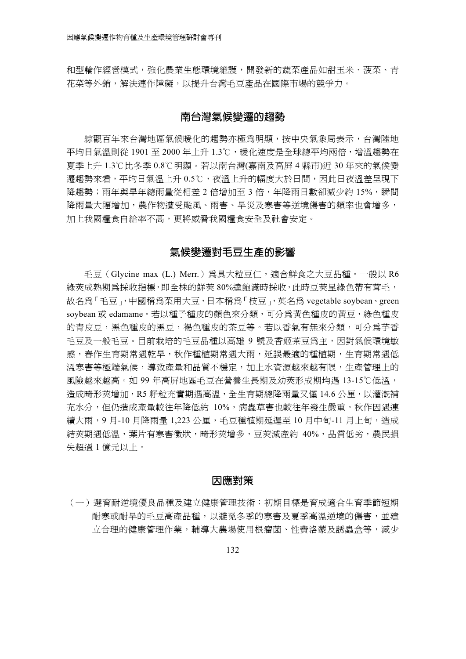和型輪作經營模式,強化農業生態環境維護,開發新的蔬菜產品如甜玉米、菠菜、青 花菜等外銷,解決連作障礙,以提升台灣毛豆產品在國際市場的競爭力。

## 南台灣氣候變遷的趨勢

綜觀百年來台灣地區氣候暖化的趨勢亦極為明顯,按中央氣象局表示,台灣陸地 平均日氣溫則從 1901 至 2000 年上升 1.3℃,暖化速度是全球總平均兩倍,增溫趨勢在 夏季上升 1.3℃比冬季 0.8℃明顯ろ若以南台灣(嘉南及高屏 4 縣市)近 30 年來的氣候變 遷趨勢來看,平均日氣溫上升 0.5℃,夜溫上升的幅度大於日間,因此日夜溫差呈現下 降趨勢;雨年與旱年總雨量從相差 2 倍增加至 3 倍,年降雨日數卻減少約 15%,瞬間 降雨量大幅增加,農作物遭受颱風、雨害、旱災及寒害等逆境傷害的頻率也會增多, 加上我國糧食自給率不高,更將威脅我國糧食安全及社會安定。

## 氣候變遷對毛豆生產的影響

毛豆(Glycine max (L.) Merr.)為具大粒豆仁,適合鮮食之大豆品種。一般以 R6 綠莢成熟期為採收指標,即全株的鮮莢 80%達飽滿時採收,此時豆莢呈綠色帶有茸毛, 故名為「毛豆」,中國稱為菜用大豆,日本稱為「枝豆」,英名為 vegetable soybean、green soybean 或 edamame。若以種子種皮的顏色來分類,可分爲黃色種皮的黃豆,緣色種皮 的青皮豆,黑色種皮的黑豆,褐色種皮的茶豆等。若以香氣有無來分類,可分為芋香 毛豆及一般毛豆。目前栽培的毛豆品種以高雄 9 號及香姬茶豆為主,因對氣候環境敏 感,春作生育期常遇乾旱,秋作種植期常遇大雨,延誤最適的種植期,生育期常遇低 溫寒害等極端氣候,導致產量和品質不穩定,加上水資源越來越有限,生產管理上的 風險越來越高。如 99 年高屏地區毛豆在營養生長期及幼莢形成期均遇 13-15℃低溫, 造成畸形莢增加,R5 籽粒充實期遇高溫,全生育期總降兩量又僅 14.6 公厘,以灌溉補 充水分,但仍造成產量較往年降低約 10%,病蟲草害也較往年發生嚴重。秋作因遇連 續大雨,9 月-10 月降雨量 1,223 公厘,毛豆種植期延遲至 10 月中旬-11 月上旬,造成 結莢期遇低溫,葉片有寒害徵狀,畸形莢增多,豆莢減產約 40%,品質低劣,農民損 失超過 1 億元以上。

#### 因應對策

ゴ一サ選育耐逆境優良品種及建立健康管理技術:初期目標是育成適合生育季節短期 耐寒或耐旱的毛豆高產品種,以避免冬季的寒害及夏季高溫逆境的傷害,並建 立合理的健康管理作業,輔導大農場使用根瘤菌、性費洛蒙及誘蟲盒等,減少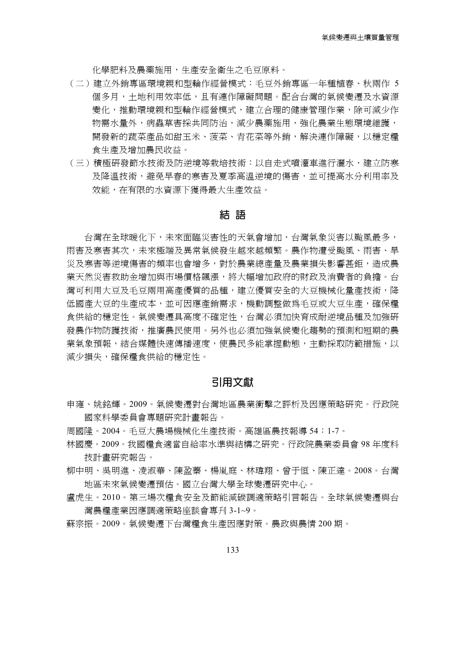化學肥料及農藥施用,生產安全衛生之毛豆原料。

- ゴ二サ建立外銷專區環境親和型輪作經營模式:毛豆外銷專區一年種植春、秋兩作 5 個多月,十地利用效率低,日有連作障礙問題。配合台灣的氣候變遷及水資源 變化,推動環境親和型輪作經營模式,建立合理的健康管理作業,除可減少作 物需水量外,病蟲草害採共同防治,減少農藥施用,強化農業生態環境維護, 開發新的蔬菜產品如甜玉米、菠菜、青花菜等外銷,解決連作障礙,以穩定糧 食生產及增加農民收益。
- (三)積極研發節水技術及防逆境等栽培技術:以自走式噴灌車淮行灑水,建立防寒 及降溫技術,避免早春的寒害及夏季高溫逆境的傷害,並可提高水分利用率及 效能,在有限的水資源下獲得最大生產效益。

## 結 語

台灣在全球暖化下,未來面臨災害性的天氣會增加,台灣氣象災害以颱風最多, 雨害及寒害其次,未來極端及異常氣候發生越來越頻繁。農作物遭受颱風、雨害、旱 災及寒害等逆境傷害的頻率也會增多,對於農業總產量及農業損失影響甚鉅,造成農 業天然災害救助金增加與市場價格飆漲,將大幅增加政府的財政及消費者的負擔。台 灣可利用大豆及毛豆兩用高產優質的品種,建立優質安全的大豆機械化量產技術,降 低國產大豆的生產成本,並可因應產銷需求,機動調整做為毛豆或大豆生產,確保糧 食供給的穩定性。氣候變遷具高度不確定性,台灣必須加快育成耐逆境品種及加強研 發農作物防護技術,推廣農民使用。另外也必須加強氣候變化趨勢的預測和短期的農 業氣象預報,結合媒體快速傳播速度,使農民多能掌握動熊,主動採取防範措施,以 減少損失,確保糧食供給的穩定性。

#### 引用文獻

- 申雍、姚銘輝。2009。氣候變遷對台灣地區農業衝擊之評析及因應策略研究。行政院 國家科學委員會專題研究計書報告。
- 周國隆。2004。毛豆大農場機械化生產技術。高雄區農技報導 54:1-7。
- 林國慶。2009。我國糧食適當自給率水準與結構之研究。行政院農業委員會 98 年度科 技計書研究報告。
- 柳中明、吳明淮、凌淑華、陳盈蓁、楊胤庭、林瑋翔、曾干恒、陳正達。2008。台灣 地區未來氣候變遷預估。國立台灣大學全球變遷研究中心。
- 盧虎生。2010。第三場次糧食安全及節能減碳調適策略引言報告。全球氣候變遷與台 灣農糧產業因應調適策略座談會專刊 3-1~9。
- 蘇宗振。2009。氣候變遷下台灣糧食牛產因應對策。農政與農情 200 期。